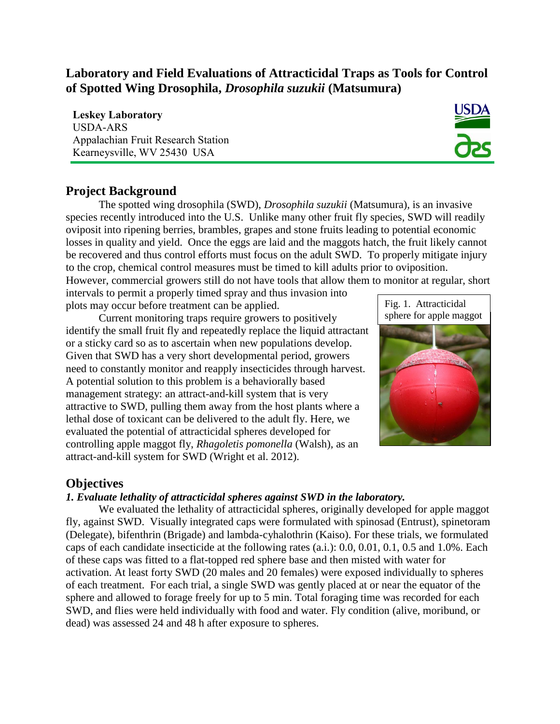# **Laboratory and Field Evaluations of Attracticidal Traps as Tools for Control of Spotted Wing Drosophila,** *Drosophila suzukii* **(Matsumura)**

**Leskey Laboratory**  USDA-ARS Appalachian Fruit Research Station Kearneysville, WV 25430 USA



# **Project Background**

The spotted wing drosophila (SWD), *Drosophila suzukii* (Matsumura), is an invasive species recently introduced into the U.S. Unlike many other fruit fly species, SWD will readily oviposit into ripening berries, brambles, grapes and stone fruits leading to potential economic losses in quality and yield. Once the eggs are laid and the maggots hatch, the fruit likely cannot be recovered and thus control efforts must focus on the adult SWD. To properly mitigate injury to the crop, chemical control measures must be timed to kill adults prior to oviposition.

However, commercial growers still do not have tools that allow them to monitor at regular, short

intervals to permit a properly timed spray and thus invasion into plots may occur before treatment can be applied.

Current monitoring traps require growers to positively identify the small fruit fly and repeatedly replace the liquid attractant or a sticky card so as to ascertain when new populations develop. Given that SWD has a very short developmental period, growers need to constantly monitor and reapply insecticides through harvest. A potential solution to this problem is a behaviorally based management strategy: an attract-and-kill system that is very attractive to SWD, pulling them away from the host plants where a lethal dose of toxicant can be delivered to the adult fly. Here, we evaluated the potential of attracticidal spheres developed for controlling apple maggot fly, *Rhagoletis pomonella* (Walsh)*,* as an attract-and-kill system for SWD (Wright et al. 2012).





## **Objectives**

#### *1. Evaluate lethality of attracticidal spheres against SWD in the laboratory.*

We evaluated the lethality of attracticidal spheres, originally developed for apple maggot fly, against SWD. Visually integrated caps were formulated with spinosad (Entrust), spinetoram (Delegate), bifenthrin (Brigade) and lambda-cyhalothrin (Kaiso). For these trials, we formulated caps of each candidate insecticide at the following rates (a.i.): 0.0, 0.01, 0.1, 0.5 and 1.0%. Each of these caps was fitted to a flat-topped red sphere base and then misted with water for activation. At least forty SWD (20 males and 20 females) were exposed individually to spheres of each treatment. For each trial, a single SWD was gently placed at or near the equator of the sphere and allowed to forage freely for up to 5 min. Total foraging time was recorded for each SWD, and flies were held individually with food and water. Fly condition (alive, moribund, or dead) was assessed 24 and 48 h after exposure to spheres.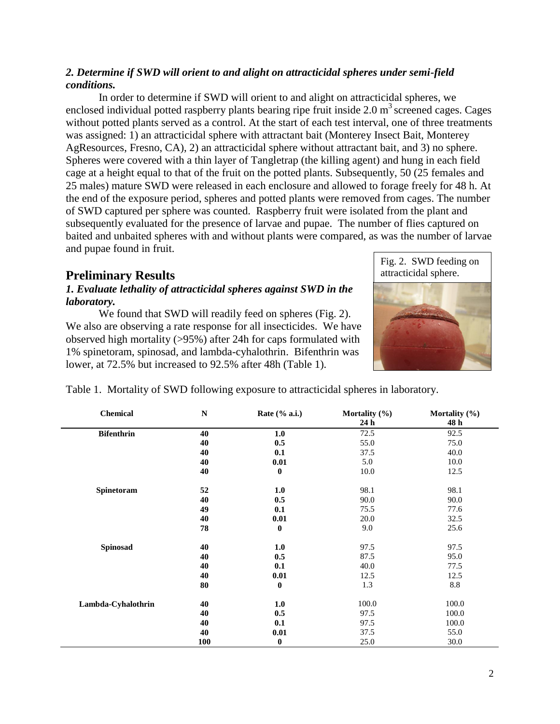#### *2. Determine if SWD will orient to and alight on attracticidal spheres under semi-field conditions.*

In order to determine if SWD will orient to and alight on attracticidal spheres, we enclosed individual potted raspberry plants bearing ripe fruit inside  $2.0 \text{ m}^3$  screened cages. Cages without potted plants served as a control. At the start of each test interval, one of three treatments was assigned: 1) an attracticidal sphere with attractant bait (Monterey Insect Bait, Monterey AgResources, Fresno, CA), 2) an attracticidal sphere without attractant bait, and 3) no sphere. Spheres were covered with a thin layer of Tangletrap (the killing agent) and hung in each field cage at a height equal to that of the fruit on the potted plants. Subsequently, 50 (25 females and 25 males) mature SWD were released in each enclosure and allowed to forage freely for 48 h. At the end of the exposure period, spheres and potted plants were removed from cages. The number of SWD captured per sphere was counted. Raspberry fruit were isolated from the plant and subsequently evaluated for the presence of larvae and pupae. The number of flies captured on baited and unbaited spheres with and without plants were compared, as was the number of larvae and pupae found in fruit.

# **Preliminary Results**

#### *1. Evaluate lethality of attracticidal spheres against SWD in the laboratory.*

We found that SWD will readily feed on spheres (Fig. 2). We also are observing a rate response for all insecticides. We have observed high mortality (>95%) after 24h for caps formulated with 1% spinetoram, spinosad, and lambda-cyhalothrin. Bifenthrin was lower, at 72.5% but increased to 92.5% after 48h (Table 1).



Table 1. Mortality of SWD following exposure to attracticidal spheres in laboratory.

| <b>Chemical</b>    | $\mathbf N$ | Rate $(\%$ a.i.) | Mortality (%)<br>24 h | Mortality (%)<br>48 h |
|--------------------|-------------|------------------|-----------------------|-----------------------|
| <b>Bifenthrin</b>  | 40          | 1.0              | 72.5                  | 92.5                  |
|                    | 40          | 0.5              | 55.0                  | 75.0                  |
|                    | 40          | 0.1              | 37.5                  | 40.0                  |
|                    | 40          | 0.01             | 5.0                   | 10.0                  |
|                    | 40          | $\bf{0}$         | 10.0                  | 12.5                  |
| Spinetoram         | 52          | 1.0              | 98.1                  | 98.1                  |
|                    | 40          | 0.5              | 90.0                  | 90.0                  |
|                    | 49          | 0.1              | 75.5                  | 77.6                  |
|                    | 40          | 0.01             | 20.0                  | 32.5                  |
|                    | 78          | $\bf{0}$         | 9.0                   | 25.6                  |
| Spinosad           | 40          | 1.0              | 97.5                  | 97.5                  |
|                    | 40          | 0.5              | 87.5                  | 95.0                  |
|                    | 40          | 0.1              | 40.0                  | 77.5                  |
|                    | 40          | 0.01             | 12.5                  | 12.5                  |
|                    | 80          | $\bf{0}$         | 1.3                   | 8.8                   |
| Lambda-Cyhalothrin | 40          | 1.0              | 100.0                 | 100.0                 |
|                    | 40          | 0.5              | 97.5                  | 100.0                 |
|                    | 40          | 0.1              | 97.5                  | 100.0                 |
|                    | 40          | 0.01             | 37.5                  | 55.0                  |
|                    | 100         | $\bf{0}$         | 25.0                  | 30.0                  |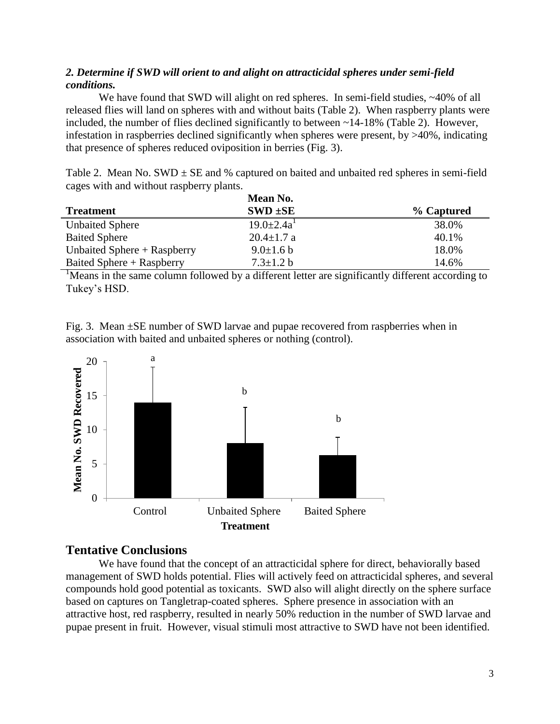#### *2. Determine if SWD will orient to and alight on attracticidal spheres under semi-field conditions.*

We have found that SWD will alight on red spheres. In semi-field studies,  $\sim$ 40% of all released flies will land on spheres with and without baits (Table 2). When raspberry plants were included, the number of flies declined significantly to between  $\sim$ 14-18% (Table 2). However, infestation in raspberries declined significantly when spheres were present, by  $>40\%$ , indicating that presence of spheres reduced oviposition in berries (Fig. 3).

Table 2. Mean No. SWD  $\pm$  SE and % captured on baited and unbaited red spheres in semi-field cages with and without raspberry plants.

|                               | Mean No.          |            |
|-------------------------------|-------------------|------------|
| <b>Treatment</b>              | $SWD \pm SE$      | % Captured |
| <b>Unbaited Sphere</b>        | $19.0 \pm 2.4a^1$ | 38.0%      |
| <b>Baited Sphere</b>          | $20.4 \pm 1.7$ a  | 40.1%      |
| Unbaited Sphere $+$ Raspberry | $9.0 \pm 1.6 b$   | 18.0%      |
| Baited Sphere + Raspberry     | $7.3 \pm 1.2 b$   | 14.6%      |

<sup>1</sup>Means in the same column followed by a different letter are significantly different according to Tukey's HSD.

Fig. 3. Mean ±SE number of SWD larvae and pupae recovered from raspberries when in association with baited and unbaited spheres or nothing (control).



### **Tentative Conclusions**

We have found that the concept of an attracticidal sphere for direct, behaviorally based management of SWD holds potential. Flies will actively feed on attracticidal spheres, and several compounds hold good potential as toxicants. SWD also will alight directly on the sphere surface based on captures on Tangletrap-coated spheres. Sphere presence in association with an attractive host, red raspberry, resulted in nearly 50% reduction in the number of SWD larvae and pupae present in fruit. However, visual stimuli most attractive to SWD have not been identified.